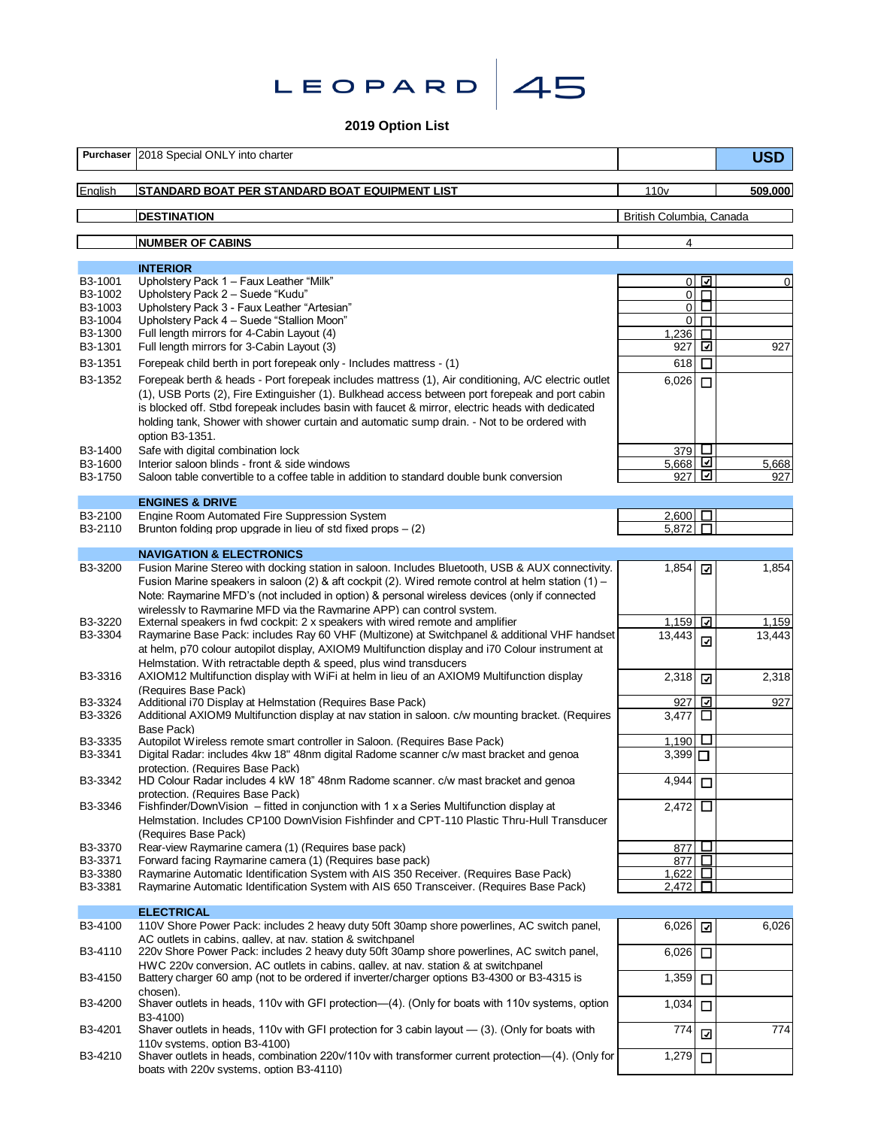

**2019 Option List**

|                    | Purchaser 2018 Special ONLY into charter                                                                                                                                                                                                                                      |                                  |             | <b>USD</b> |
|--------------------|-------------------------------------------------------------------------------------------------------------------------------------------------------------------------------------------------------------------------------------------------------------------------------|----------------------------------|-------------|------------|
| English            | STANDARD BOAT PER STANDARD BOAT EQUIPMENT LIST                                                                                                                                                                                                                                | 110 <sub>v</sub>                 |             | 509,000    |
|                    | <b>DESTINATION</b>                                                                                                                                                                                                                                                            | British Columbia, Canada         |             |            |
|                    | <b>NUMBER OF CABINS</b>                                                                                                                                                                                                                                                       | 4                                |             |            |
|                    | <b>INTERIOR</b>                                                                                                                                                                                                                                                               |                                  |             |            |
| B3-1001            | Upholstery Pack 1 - Faux Leather "Milk"                                                                                                                                                                                                                                       | $\overline{0}$                   | ⊡           | 0          |
| B3-1002<br>B3-1003 | Upholstery Pack 2 - Suede "Kudu"<br>Upholstery Pack 3 - Faux Leather "Artesian"                                                                                                                                                                                               | $\overline{0}$<br>$\overline{0}$ | $\Box$<br>□ |            |
| B3-1004            | Upholstery Pack 4 - Suede "Stallion Moon"                                                                                                                                                                                                                                     | $\overline{0}$                   | П           |            |
| B3-1300            | Full length mirrors for 4-Cabin Layout (4)                                                                                                                                                                                                                                    | 1,236                            | Л           |            |
| B3-1301<br>B3-1351 | Full length mirrors for 3-Cabin Layout (3)<br>Forepeak child berth in port forepeak only - Includes mattress - (1)                                                                                                                                                            | 927<br>618                       | ⊡<br>$\Box$ | 927        |
| B3-1352            | Forepeak berth & heads - Port forepeak includes mattress (1), Air conditioning, A/C electric outlet                                                                                                                                                                           | 6,026                            | $\Box$      |            |
|                    | (1), USB Ports (2), Fire Extinguisher (1). Bulkhead access between port forepeak and port cabin<br>is blocked off. Stbd forepeak includes basin with faucet & mirror, electric heads with dedicated                                                                           |                                  |             |            |
|                    | holding tank, Shower with shower curtain and automatic sump drain. - Not to be ordered with<br>option B3-1351.                                                                                                                                                                |                                  |             |            |
| B3-1400            | Safe with digital combination lock                                                                                                                                                                                                                                            | 379                              | $\Box$      |            |
| B3-1600            | Interior saloon blinds - front & side windows                                                                                                                                                                                                                                 | 5,668                            | ⊡           | 5,668      |
| B3-1750            | Saloon table convertible to a coffee table in addition to standard double bunk conversion                                                                                                                                                                                     | 927                              |             | 927        |
|                    | <b>ENGINES &amp; DRIVE</b>                                                                                                                                                                                                                                                    |                                  |             |            |
| B3-2100<br>B3-2110 | Engine Room Automated Fire Suppression System<br>Brunton folding prop upgrade in lieu of std fixed props $-$ (2)                                                                                                                                                              | $2,600$ $\Box$<br>5,872          | П           |            |
|                    |                                                                                                                                                                                                                                                                               |                                  |             |            |
| B3-3200            | <b>NAVIGATION &amp; ELECTRONICS</b><br>Fusion Marine Stereo with docking station in saloon. Includes Bluetooth, USB & AUX connectivity.                                                                                                                                       | 1,854                            | ⊡           | 1,854      |
|                    | Fusion Marine speakers in saloon (2) & aft cockpit (2). Wired remote control at helm station (1) –<br>Note: Raymarine MFD's (not included in option) & personal wireless devices (only if connected<br>wirelessly to Raymarine MFD via the Raymarine APP) can control system. |                                  |             |            |
| B3-3220            | External speakers in fwd cockpit: 2 x speakers with wired remote and amplifier                                                                                                                                                                                                | 1,159                            | ⊡           | 1,159      |
| B3-3304            | Raymarine Base Pack: includes Ray 60 VHF (Multizone) at Switchpanel & additional VHF handset<br>at helm, p70 colour autopilot display, AXIOM9 Multifunction display and i70 Colour instrument at<br>Helmstation. With retractable depth & speed, plus wind transducers        | 13,443                           | ☑           | 13,443     |
| B3-3316            | AXIOM12 Multifunction display with WiFi at helm in lieu of an AXIOM9 Multifunction display<br>(Requires Base Pack)                                                                                                                                                            | 2,318                            | ⊡           | 2,318      |
| B3-3324            | Additional i70 Display at Helmstation (Requires Base Pack)                                                                                                                                                                                                                    | 927                              | ☑           | 927        |
| B3-3326            | Additional AXIOM9 Multifunction display at nav station in saloon. c/w mounting bracket. (Requires<br>Base Pack)                                                                                                                                                               | 3,477                            | $\Box$      |            |
| B3-3335            | Autopilot Wireless remote smart controller in Saloon. (Requires Base Pack)                                                                                                                                                                                                    | 1,190                            | Ц           |            |
| B3-3341            | Digital Radar: includes 4kw 18" 48nm digital Radome scanner c/w mast bracket and genoa<br>protection. (Requires Base Pack)                                                                                                                                                    | $3,399$ $\Box$                   |             |            |
| B3-3342            | HD Colour Radar includes 4 kW 18" 48nm Radome scanner. c/w mast bracket and genoa<br>protection. (Requires Base Pack)                                                                                                                                                         | 4,944                            | $\Box$      |            |
| B3-3346            | Fishfinder/DownVision – fitted in conjunction with 1 x a Series Multifunction display at<br>Helmstation. Includes CP100 DownVision Fishfinder and CPT-110 Plastic Thru-Hull Transducer<br>(Requires Base Pack)                                                                | 2,472                            | □           |            |
| B3-3370            | Rear-view Raymarine camera (1) (Requires base pack)                                                                                                                                                                                                                           | 877                              | ш           |            |
| B3-3371            | Forward facing Raymarine camera (1) (Requires base pack)                                                                                                                                                                                                                      | 877                              | □           |            |
| B3-3380<br>B3-3381 | Raymarine Automatic Identification System with AIS 350 Receiver. (Requires Base Pack)<br>Raymarine Automatic Identification System with AIS 650 Transceiver, (Requires Base Pack)                                                                                             | 1,622<br>2.472                   | □<br>П      |            |
|                    |                                                                                                                                                                                                                                                                               |                                  |             |            |
| B3-4100            | <b>ELECTRICAL</b><br>110V Shore Power Pack: includes 2 heavy duty 50ft 30amp shore powerlines, AC switch panel,<br>AC outlets in cabins, galley, at nay, station & switchpanel                                                                                                | $6,026$ $\Box$                   |             | 6,026      |
| B3-4110            | 220v Shore Power Pack: includes 2 heavy duty 50ft 30amp shore powerlines, AC switch panel,<br>HWC 220v conversion. AC outlets in cabins, galley, at nay, station & at switchpanel                                                                                             | 6,026                            | $\Box$      |            |
| B3-4150            | Battery charger 60 amp (not to be ordered if inverter/charger options B3-4300 or B3-4315 is<br>chosen).                                                                                                                                                                       | 1,359                            | $\Box$      |            |
| B3-4200            | Shaver outlets in heads, 110y with GFI protection—(4). (Only for boats with 110y systems, option<br>B3-4100)                                                                                                                                                                  | 1,034                            | $\Box$      |            |
| B3-4201            | Shaver outlets in heads, 110v with GFI protection for 3 cabin layout - (3). (Only for boats with<br>110v systems. option B3-4100)                                                                                                                                             | 774                              | ☑           | 774        |
| B3-4210            | Shaver outlets in heads, combination 220v/110v with transformer current protection—(4). (Only for<br>boats with 220v systems, option B3-4110)                                                                                                                                 | 1,279                            | $\Box$      |            |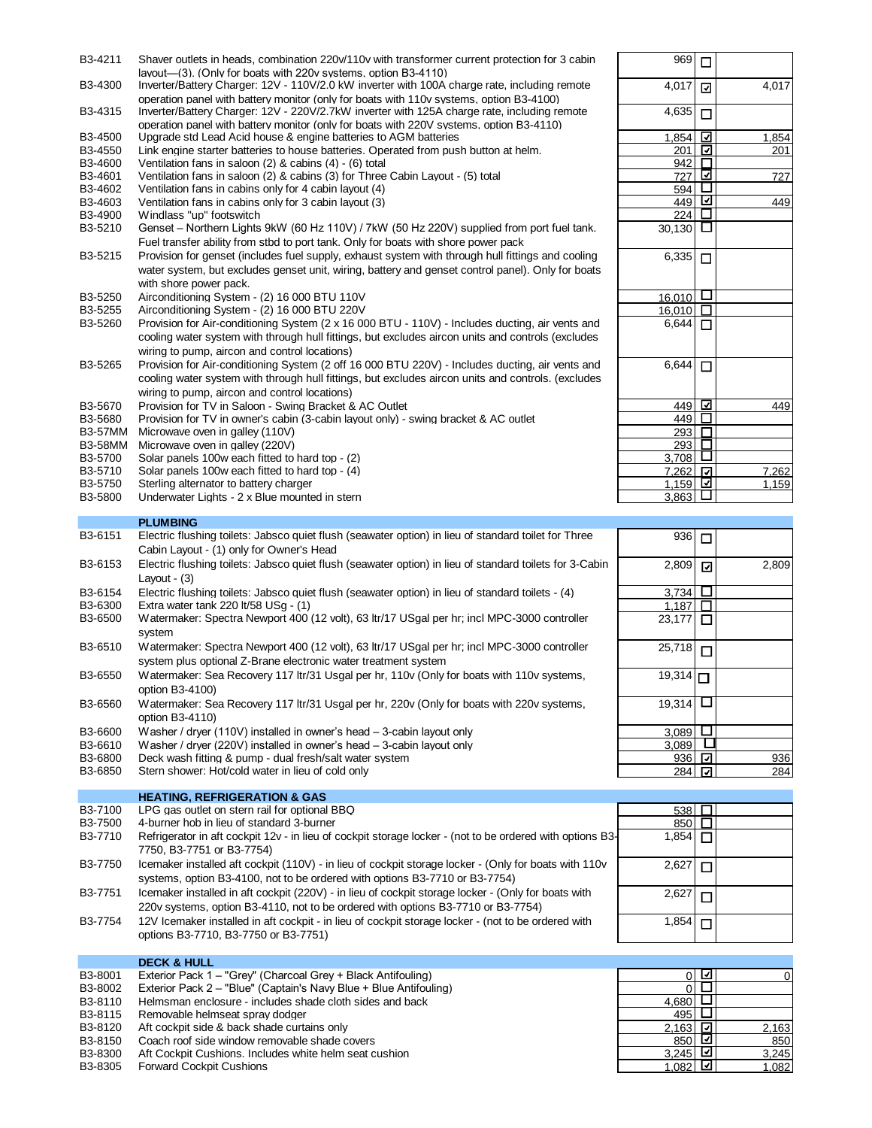| B3-4211              | Shaver outlets in heads, combination 220v/110v with transformer current protection for 3 cabin     | 969                        | $\Box$                   |       |
|----------------------|----------------------------------------------------------------------------------------------------|----------------------------|--------------------------|-------|
|                      | layout—(3). (Only for boats with 220y systems, option B3-4110)                                     |                            |                          |       |
| B3-4300              | Inverter/Battery Charger: 12V - 110V/2.0 kW inverter with 100A charge rate, including remote       | 4,017                      | ⊡                        | 4.017 |
|                      | operation panel with battery monitor (only for boats with 110y systems, option B3-4100)            |                            |                          |       |
| B3-4315              | Inverter/Battery Charger: 12V - 220V/2.7kW inverter with 125A charge rate, including remote        | 4,635                      | $\Box$                   |       |
|                      | operation panel with battery monitor (only for boats with 220V systems, option B3-4110)            |                            |                          |       |
| B3-4500              | Upgrade std Lead Acid house & engine batteries to AGM batteries                                    | 1,854                      | $\overline{\phantom{a}}$ | 1,854 |
| B <sub>3</sub> -4550 | Link engine starter batteries to house batteries. Operated from push button at helm.               | 201                        | ⊡                        | 201   |
| B3-4600              | Ventilation fans in saloon $(2)$ & cabins $(4)$ - $(6)$ total                                      | 942                        | $\Box$                   |       |
| B3-4601              | Ventilation fans in saloon (2) & cabins (3) for Three Cabin Layout - (5) total                     | 727                        | ⊡                        | 727   |
| B3-4602              | Ventilation fans in cabins only for 4 cabin layout (4)                                             | 594                        | ⊔                        |       |
| B3-4603              | Ventilation fans in cabins only for 3 cabin layout (3)                                             | 449                        | ⊡                        | 449   |
| B3-4900              | Windlass "up" footswitch                                                                           | 224                        | □                        |       |
| B3-5210              | Genset - Northern Lights 9kW (60 Hz 110V) / 7kW (50 Hz 220V) supplied from port fuel tank.         | 30,130 $\Box$              |                          |       |
|                      | Fuel transfer ability from stbd to port tank. Only for boats with shore power pack                 |                            |                          |       |
| B3-5215              | Provision for genset (includes fuel supply, exhaust system with through hull fittings and cooling  | $\overline{6}$ ,335 $\Box$ |                          |       |
|                      | water system, but excludes genset unit, wiring, battery and genset control panel). Only for boats  |                            |                          |       |
|                      | with shore power pack.                                                                             |                            |                          |       |
| B <sub>3</sub> -5250 | Airconditioning System - (2) 16 000 BTU 110V                                                       | 16.010                     | ⊔                        |       |
| B3-5255              | Airconditioning System - (2) 16 000 BTU 220V                                                       | 16.010                     | $\Box$                   |       |
| B3-5260              | Provision for Air-conditioning System (2 x 16 000 BTU - 110V) - Includes ducting, air vents and    | $6.644$ $\Box$             |                          |       |
|                      | cooling water system with through hull fittings, but excludes aircon units and controls (excludes  |                            |                          |       |
|                      | wiring to pump, aircon and control locations)                                                      |                            |                          |       |
| B3-5265              | Provision for Air-conditioning System (2 off 16 000 BTU 220V) - Includes ducting, air vents and    | 6,644                      | П                        |       |
|                      | cooling water system with through hull fittings, but excludes aircon units and controls. (excludes |                            |                          |       |
|                      | wiring to pump, aircon and control locations)                                                      |                            |                          |       |
|                      |                                                                                                    |                            | ⊡                        |       |
| B3-5670              | Provision for TV in Saloon - Swing Bracket & AC Outlet                                             | 449                        | □                        | 449   |
| B3-5680              | Provision for TV in owner's cabin (3-cabin layout only) - swing bracket & AC outlet                | 449                        | $\Box$                   |       |
| <b>B3-57MM</b>       | Microwave oven in galley (110V)                                                                    | 293                        |                          |       |
| <b>B3-58MM</b>       | Microwave oven in galley (220V)                                                                    | 293                        | □                        |       |
| B3-5700              | Solar panels 100w each fitted to hard top - (2)                                                    | 3,708                      |                          |       |
| B3-5710              | Solar panels 100w each fitted to hard top - (4)                                                    | 7,262 回                    |                          | 7,262 |

- 
- B3-5750 Sterling alternator to battery charger<br>B3-5800 Underwater Lights 2 x Blue mounte Underwater Lights - 2 x Blue mounted in stern

## **PLUMBING**

| B3-6151 | Electric flushing toilets: Jabsco quiet flush (seawater option) in lieu of standard toilet for Three                                                          | 936    |
|---------|---------------------------------------------------------------------------------------------------------------------------------------------------------------|--------|
|         | Cabin Layout - (1) only for Owner's Head                                                                                                                      |        |
| B3-6153 | Electric flushing toilets: Jabsco quiet flush (seawater option) in lieu of standard toilets for 3-Cabin                                                       | 2.809  |
|         | Lavout - (3)                                                                                                                                                  |        |
| B3-6154 | Electric flushing toilets: Jabsco quiet flush (seawater option) in lieu of standard toilets - (4)                                                             | 3,734  |
| B3-6300 | Extra water tank 220 lt/58 $USq - (1)$                                                                                                                        | 1,187  |
| B3-6500 | Watermaker: Spectra Newport 400 (12 volt), 63 ltr/17 USgal per hr; incl MPC-3000 controller<br>system                                                         | 23.177 |
| B3-6510 | Watermaker: Spectra Newport 400 (12 volt), 63 ltr/17 USgal per hr; incl MPC-3000 controller<br>system plus optional Z-Brane electronic water treatment system | 25.718 |

- B3-6550 Watermaker: Sea Recovery 117 ltr/31 Usgal per hr, 110v (Only for boats with 110v systems, option B3-4100)
- B3-6560 Watermaker: Sea Recovery 117 ltr/31 Usgal per hr, 220v (Only for boats with 220v systems, option B3-4110)
- B3-6600 Washer / dryer (110V) installed in owner's head  $-$  3-cabin layout only B3-6610 Washer / dryer (220V) installed in owner's head  $-$  3-cabin layout only
- B3-6610 Washer / dryer (220V) installed in owner's head 3-cabin layout only B3-6800 Deck wash fitting & pump dual fresh/salt water system
- B3-6800 Deck wash fitting & pump dual fresh/salt water system<br>B3-6850 Stern shower: Hot/cold water in lieu of cold only
- Stern shower: Hot/cold water in lieu of cold only

**HEATING, REFRIGERATION & GAS**

| B3-7100 | LPG gas outlet on stern rail for optional BBQ                                                                                                                                           | 538 $\Box$ |  |
|---------|-----------------------------------------------------------------------------------------------------------------------------------------------------------------------------------------|------------|--|
| B3-7500 | 4-burner hob in lieu of standard 3-burner                                                                                                                                               | 850        |  |
| B3-7710 | Refrigerator in aft cockpit 12v - in lieu of cockpit storage locker - (not to be ordered with options B3-                                                                               | 1,854∣∏    |  |
|         | 7750, B3-7751 or B3-7754)                                                                                                                                                               |            |  |
| B3-7750 | Icemaker installed aft cockpit (110V) - in lieu of cockpit storage locker - (Only for boats with 110v<br>systems, option B3-4100, not to be ordered with options B3-7710 or B3-7754)    | 2,62       |  |
| B3-7751 | Icemaker installed in aft cockpit (220V) - in lieu of cockpit storage locker - (Only for boats with<br>220v systems, option B3-4110, not to be ordered with options B3-7710 or B3-7754) | 2,627      |  |
| B3-7754 | 12V Icemaker installed in aft cockpit - in lieu of cockpit storage locker - (not to be ordered with<br>options B3-7710, B3-7750 or B3-7751)                                             | $1,854$ .  |  |

#### **DECK & HULL** B3-8001 Exterior Pack 1 – "Grey" (Charcoal Grey + Black Antifouling) 0 0 B3-8002 Exterior Pack 2 – "Blue" (Captain's Navy Blue + Blue Antifouling)<br>B3-8110 Helmsman enclosure - includes shade cloth sides and back  $\overline{a}$ ,680  $\overline{1}$ Helmsman enclosure - includes shade cloth sides and back Ō B3-8115 Removable helmseat spray dodger  $B$ 3-8120 Aft cockpit side & back shade curtains only  $\overline{A}$ B3-8120 Aft cockpit side & back shade curtains only <br>
B3-8150 Coach roof side window removable shade covers <br>
2,163 2,163 2,163 2,163 2,163 2,163 2,163 2,163 2,163 2,163 2,163 2,163 2,163 2,163 2,163 2,163 2,163 2,163 2 B3-8150 Coach roof side window removable shade covers<br>B3-8300 Aft Cockpit Cushions. Includes white helm seat cushion  $3,245$ <br>B3-8300 Aft Cockpit Cushions. Includes white helm seat cushion B3-8300 Aft Cockpit Cushions. Includes white helm seat cushion 3,245 3,245 3,245 3,245 3,245 3,245 3,245 3,245 3,245 3,245 3,245 3,245 3,245 3,245 3,245 3,245 3,245 3,245 3,245 3,245 3,245 3,245 3,245 3,245 3,245 3,245 3,2 Forward Cockpit Cushions 1,082 | 2 | 1,082 1,082 | 2 | 1,082 | 2 | 1,082 | 2 | 1,082 | 2 | 1,082 | 2 | 1,082 | 2 | 1,082 | 2 | 1,082 | 2 | 1,082 | 2 | 1,082 | 2 | 1,082 | 2 | 1,082 | 2 | 1,082 | 2 | 1,082 | 2 | 1,082 | 2 |

| 969           | $\Box$ |               |
|---------------|--------|---------------|
| 4,017         | ☑      | 4,017         |
| 4,635         | □      |               |
| 1,854         | ☑      | 1,854         |
| 201           | ☑      | 201           |
| 942           | $\Box$ |               |
| 727           | ☑      | 727           |
| 594           |        |               |
| 449           | ☑      | 449           |
| 224           |        |               |
| 30,130        |        |               |
| 6,335         | ◘      |               |
| 16,010        | □      |               |
| 16,010        |        |               |
| 6,644         | г      |               |
| 6,644         | П      |               |
| 449           | k      | 449           |
| 449           |        |               |
| <u> 293</u>   |        |               |
| 293           |        |               |
| 3,708         |        |               |
| 7,262         |        | 7,262         |
| 1,159         | ⊽      | 1 <u>,159</u> |
| 3,863         |        |               |
|               |        |               |
| $\frac{3}{2}$ |        |               |

| 936    | $\Box$ |       |
|--------|--------|-------|
| 2,809  | ☑      | 2,809 |
| 3,734  |        |       |
| 1,187  |        |       |
| 23,177 |        |       |
| 25,718 | П      |       |
| 19,314 | ◻      |       |
| 19,314 |        |       |
| 3,089  |        |       |
| 3,089  |        |       |
| 936    | ⊻      | 936   |
| 284    | ⊽      | 284   |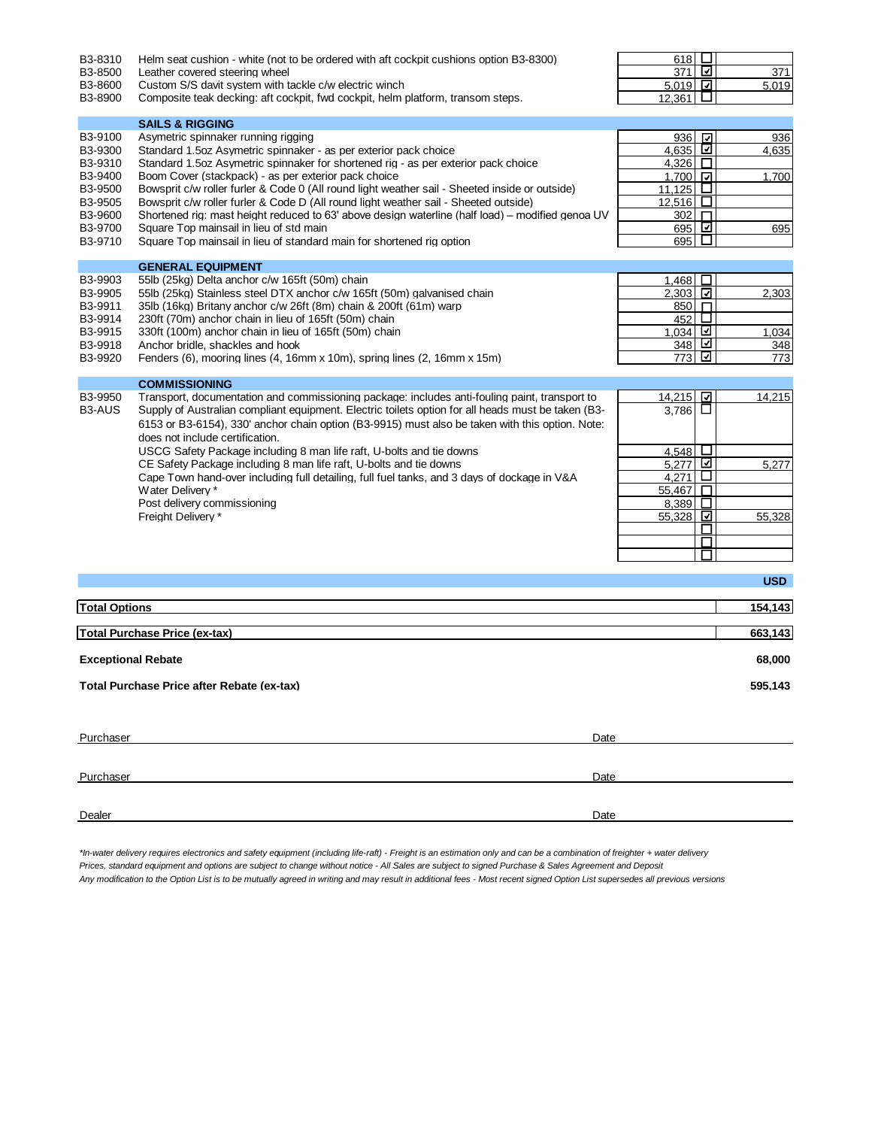| B3-8310<br>B3-8500<br>B3-8600<br>B3-8900 | Helm seat cushion - white (not to be ordered with aft cockpit cushions option B3-8300)<br>Leather covered steering wheel<br>Custom S/S davit system with tackle c/w electric winch<br>Composite teak decking: aft cockpit, fwd cockpit, helm platform, transom steps. | 618<br>371<br>$5.019$ $\Box$<br>12,361 | ⊔<br>☑<br>ш                   | 371<br>5,019 |
|------------------------------------------|-----------------------------------------------------------------------------------------------------------------------------------------------------------------------------------------------------------------------------------------------------------------------|----------------------------------------|-------------------------------|--------------|
|                                          | <b>SAILS &amp; RIGGING</b>                                                                                                                                                                                                                                            |                                        |                               |              |
| B3-9100                                  | Asymetric spinnaker running rigging                                                                                                                                                                                                                                   | 936 立                                  |                               | 936          |
| B3-9300                                  | Standard 1.5oz Asymetric spinnaker - as per exterior pack choice                                                                                                                                                                                                      | 4,635                                  |                               | 4,635        |
| B3-9310                                  | Standard 1.5 oz Asymetric spinnaker for shortened rig - as per exterior pack choice                                                                                                                                                                                   | 4,326 $\Box$                           |                               |              |
| B3-9400                                  | Boom Cover (stackpack) - as per exterior pack choice                                                                                                                                                                                                                  | 1,700                                  |                               | 1,700        |
| B3-9500                                  | Bowsprit c/w roller furler & Code 0 (All round light weather sail - Sheeted inside or outside)                                                                                                                                                                        | 11,125 $\Box$                          |                               |              |
| B3-9505                                  | Bowsprit c/w roller furler & Code D (All round light weather sail - Sheeted outside)                                                                                                                                                                                  | <u>12,516 <math>\Box</math></u>        |                               |              |
| B3-9600                                  | Shortened rig: mast height reduced to 63' above design waterline (half load) – modified genoa UV                                                                                                                                                                      | 302                                    | П                             |              |
| B3-9700                                  | Square Top mainsail in lieu of std main                                                                                                                                                                                                                               | 695                                    | ⊡                             | 695          |
| B3-9710                                  | Square Top mainsail in lieu of standard main for shortened rig option                                                                                                                                                                                                 | 695                                    | $\mathsf{L}$                  |              |
|                                          |                                                                                                                                                                                                                                                                       |                                        |                               |              |
|                                          | <b>GENERAL EQUIPMENT</b>                                                                                                                                                                                                                                              |                                        |                               |              |
| B3-9903                                  | 55lb (25kg) Delta anchor c/w 165ft (50m) chain                                                                                                                                                                                                                        | 1,468                                  | $\Box$                        |              |
| B3-9905                                  | 55lb (25kg) Stainless steel DTX anchor c/w 165ft (50m) galvanised chain                                                                                                                                                                                               | 2,303 그                                |                               | 2,303        |
| B3-9911                                  | 35lb (16kg) Britany anchor c/w 26ft (8m) chain & 200ft (61m) warp                                                                                                                                                                                                     | 850 FI                                 |                               |              |
| B3-9914                                  | 230ft (70m) anchor chain in lieu of 165ft (50m) chain                                                                                                                                                                                                                 | 452                                    | $\Box$                        |              |
| B3-9915                                  | 330ft (100m) anchor chain in lieu of 165ft (50m) chain                                                                                                                                                                                                                | <u>1,034 ⊡</u>                         |                               | 1,034        |
| B3-9918                                  | Anchor bridle, shackles and hook                                                                                                                                                                                                                                      | 348 l                                  | ⊻<br>$\overline{\phantom{a}}$ | 348          |
| B3-9920                                  | Fenders (6), mooring lines (4, 16mm x 10m), spring lines (2, 16mm x 15m)                                                                                                                                                                                              | 773                                    |                               | 773          |
|                                          | <b>COMMISSIONING</b>                                                                                                                                                                                                                                                  |                                        |                               |              |
| B3-9950                                  | Transport, documentation and commissioning package: includes anti-fouling paint, transport to                                                                                                                                                                         | 14,215                                 | ⊡                             | 14,215       |
| B <sub>3</sub> -AUS                      | Supply of Australian compliant equipment. Electric toilets option for all heads must be taken (B3-                                                                                                                                                                    | 3,786                                  | ப                             |              |
|                                          | 6153 or B3-6154), 330' anchor chain option (B3-9915) must also be taken with this option. Note:                                                                                                                                                                       |                                        |                               |              |
|                                          | does not include certification.                                                                                                                                                                                                                                       |                                        |                               |              |
|                                          |                                                                                                                                                                                                                                                                       | 4,548 $\Box$                           |                               |              |
|                                          | USCG Safety Package including 8 man life raft, U-bolts and tie downs<br>CE Safety Package including 8 man life raft, U-bolts and tie downs                                                                                                                            | $5,277$ $\Box$                         |                               |              |
|                                          |                                                                                                                                                                                                                                                                       |                                        | ⊔                             | 5,277        |
|                                          | Cape Town hand-over including full detailing, full fuel tanks, and 3 days of dockage in V&A<br>Water Delivery *                                                                                                                                                       | 4,271<br>55,467                        | $\Box$                        |              |
|                                          | Post delivery commissioning                                                                                                                                                                                                                                           | 8,389                                  | $\Box$                        |              |
|                                          | Freight Delivery *                                                                                                                                                                                                                                                    | 55,328                                 | ⊡                             | 55,328       |
|                                          |                                                                                                                                                                                                                                                                       |                                        | П                             |              |
|                                          |                                                                                                                                                                                                                                                                       |                                        | □                             |              |
|                                          |                                                                                                                                                                                                                                                                       |                                        | $\sqcup$                      |              |
|                                          |                                                                                                                                                                                                                                                                       |                                        |                               |              |
|                                          |                                                                                                                                                                                                                                                                       |                                        |                               | <b>USD</b>   |
| <b>Total Options</b>                     |                                                                                                                                                                                                                                                                       |                                        |                               | 154,143      |
|                                          |                                                                                                                                                                                                                                                                       |                                        |                               |              |
|                                          | <b>Total Purchase Price (ex-tax)</b>                                                                                                                                                                                                                                  |                                        |                               | 663,143      |
| <b>Exceptional Rebate</b>                |                                                                                                                                                                                                                                                                       |                                        |                               | 68,000       |
|                                          | Total Purchase Price after Rebate (ex-tax)                                                                                                                                                                                                                            |                                        |                               | 595,143      |
| Purchaser                                | Date                                                                                                                                                                                                                                                                  |                                        |                               |              |
|                                          |                                                                                                                                                                                                                                                                       |                                        |                               |              |
| Purchaser                                | Date                                                                                                                                                                                                                                                                  |                                        |                               |              |

*\*In-water delivery requires electronics and safety equipment (including life-raft) - Freight is an estimation only and can be a combination of freighter + water delivery Prices, standard equipment and options are subject to change without notice - All Sales are subject to signed Purchase & Sales Agreement and Deposit Any modification to the Option List is to be mutually agreed in writing and may result in additional fees - Most recent signed Option List supersedes all previous versions*

Dealer **Dealer Date of the Contract of the Contract of the Contract of the Contract of the Contract of the Date of the Contract of the Contract of the Contract of the Contract of the Contract of the Contract of the Contr**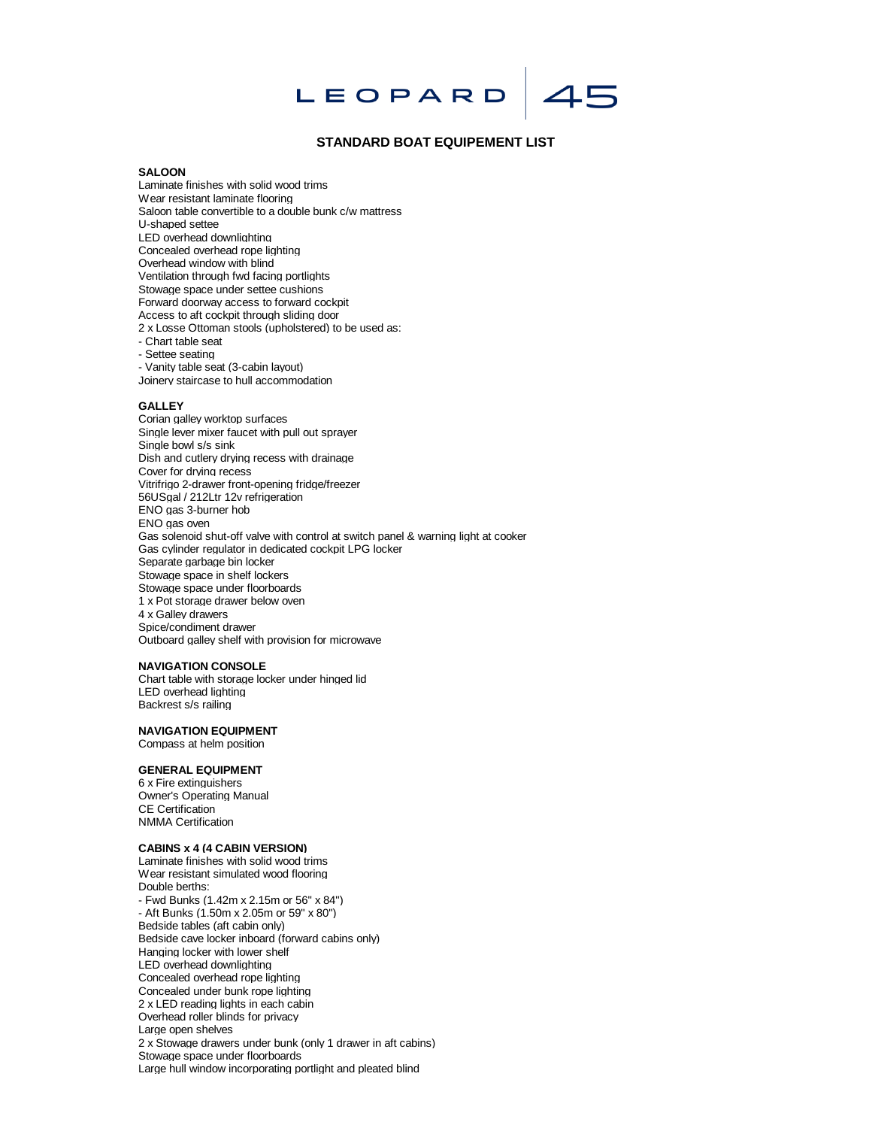# 45 LEOPARD

## **STANDARD BOAT EQUIPEMENT LIST**

## **SALOON**

Laminate finishes with solid wood trims Wear resistant laminate flooring Saloon table convertible to a double bunk c/w mattress U-shaped settee LED overhead downlighting Concealed overhead rope lighting Overhead window with blind Ventilation through fwd facing portlights Stowage space under settee cushions Forward doorway access to forward cockpit Access to aft cockpit through sliding door 2 x Losse Ottoman stools (upholstered) to be used as: - Chart table seat - Settee seating - Vanity table seat (3-cabin layout)

Joinery staircase to hull accommodation

### **GALLEY**

Corian galley worktop surfaces Single lever mixer faucet with pull out sprayer Single bowl s/s sink Dish and cutlery drying recess with drainage Cover for drying recess Vitrifrigo 2-drawer front-opening fridge/freezer 56USgal / 212Ltr 12v refrigeration ENO gas 3-burner hob ENO gas oven Gas solenoid shut-off valve with control at switch panel & warning light at cooker Gas cylinder regulator in dedicated cockpit LPG locker Separate garbage bin locker Stowage space in shelf lockers Stowage space under floorboards 1 x Pot storage drawer below oven 4 x Galley drawers Spice/condiment drawer Outboard galley shelf with provision for microwave

## **NAVIGATION CONSOLE**

Chart table with storage locker under hinged lid LED overhead lighting Backrest s/s railing

### **NAVIGATION EQUIPMENT**

Compass at helm position

## **GENERAL EQUIPMENT**

6 x Fire extinguishers Owner's Operating Manual CE Certification NMMA Certification

#### **CABINS x 4 (4 CABIN VERSION)**

Laminate finishes with solid wood trims Wear resistant simulated wood flooring Double berths: - Fwd Bunks (1.42m x 2.15m or 56" x 84") - Aft Bunks (1.50m x 2.05m or 59" x 80") Bedside tables (aft cabin only) Bedside cave locker inboard (forward cabins only) Hanging locker with lower shelf LED overhead downlighting Concealed overhead rope lighting Concealed under bunk rope lighting 2 x LED reading lights in each cabin Overhead roller blinds for privacy Large open shelves 2 x Stowage drawers under bunk (only 1 drawer in aft cabins) Stowage space under floorboards Large hull window incorporating portlight and pleated blind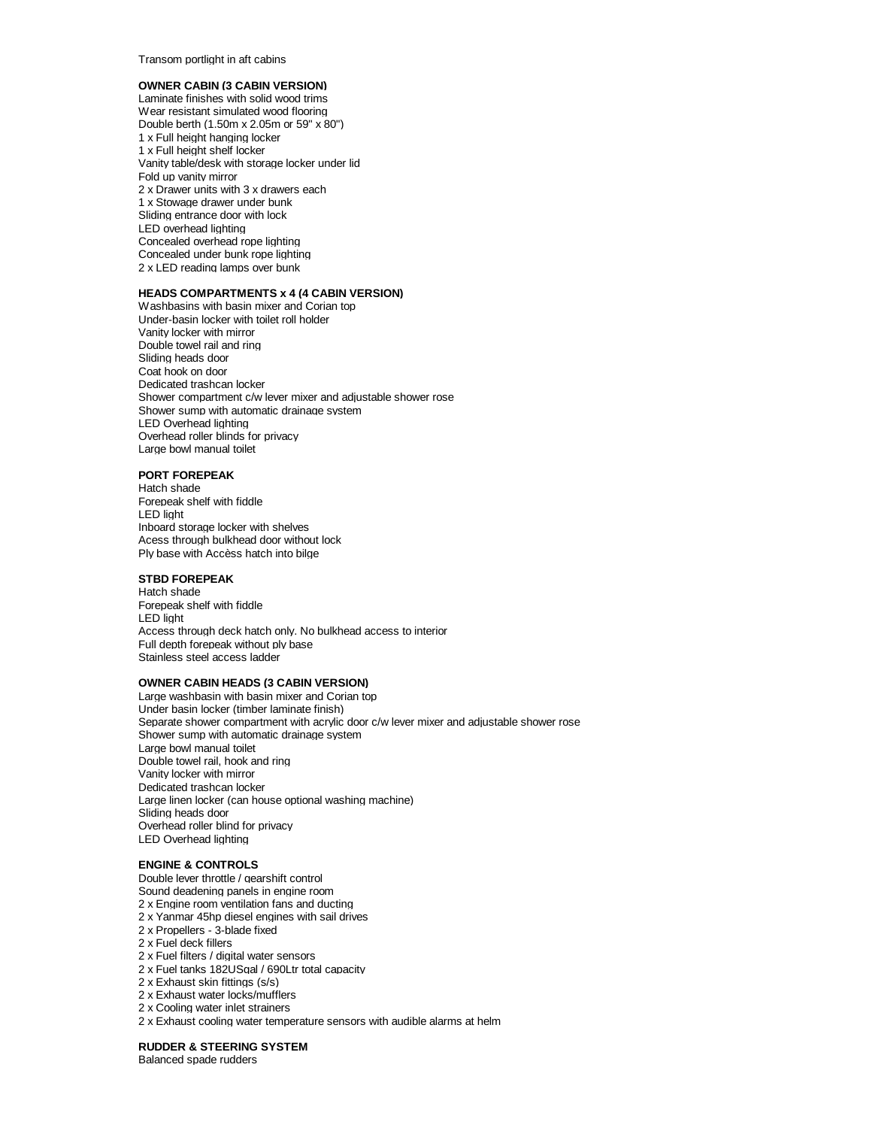Transom portlight in aft cabins

## **OWNER CABIN (3 CABIN VERSION)**

Laminate finishes with solid wood trims Wear resistant simulated wood flooring Double berth (1.50m x 2.05m or 59" x 80") 1 x Full height hanging locker 1 x Full height shelf locker Vanity table/desk with storage locker under lid Fold up vanity mirror 2 x Drawer units with 3 x drawers each 1 x Stowage drawer under bunk Sliding entrance door with lock LED overhead lighting Concealed overhead rope lighting Concealed under bunk rope lighting 2 x LED reading lamps over bunk

## **HEADS COMPARTMENTS x 4 (4 CABIN VERSION)**

Washbasins with basin mixer and Corian top Under-basin locker with toilet roll holder Vanity locker with mirror Double towel rail and ring Sliding heads door Coat hook on door Dedicated trashcan locker Shower compartment c/w lever mixer and adjustable shower rose Shower sump with automatic drainage system LED Overhead lighting Overhead roller blinds for privacy Large bowl manual toilet

### **PORT FOREPEAK**

Hatch shade Forepeak shelf with fiddle LED light Inboard storage locker with shelves Acess through bulkhead door without lock Ply base with Accèss hatch into bilge

# **STBD FOREPEAK**

Hatch shade Forepeak shelf with fiddle LED light Access through deck hatch only. No bulkhead access to interior Full depth forepeak without ply base Stainless steel access ladder

# **OWNER CABIN HEADS (3 CABIN VERSION)**

Large washbasin with basin mixer and Corian top Under basin locker (timber laminate finish) Separate shower compartment with acrylic door c/w lever mixer and adjustable shower rose Shower sump with automatic drainage system Large bowl manual toilet Double towel rail, hook and ring Vanity locker with mirror Dedicated trashcan locker Large linen locker (can house optional washing machine) Sliding heads door Overhead roller blind for privacy LED Overhead lighting

# **ENGINE & CONTROLS**

- Double lever throttle / gearshift control Sound deadening panels in engine room 2 x Engine room ventilation fans and ducting 2 x Yanmar 45hp diesel engines with sail drives 2 x Propellers - 3-blade fixed 2 x Fuel deck fillers 2 x Fuel filters / digital water sensors 2 x Fuel tanks 182USgal / 690Ltr total capacity 2 x Exhaust skin fittings (s/s) 2 x Exhaust water locks/mufflers 2 x Cooling water inlet strainers
- 2 x Exhaust cooling water temperature sensors with audible alarms at helm

**RUDDER & STEERING SYSTEM**

Balanced spade rudders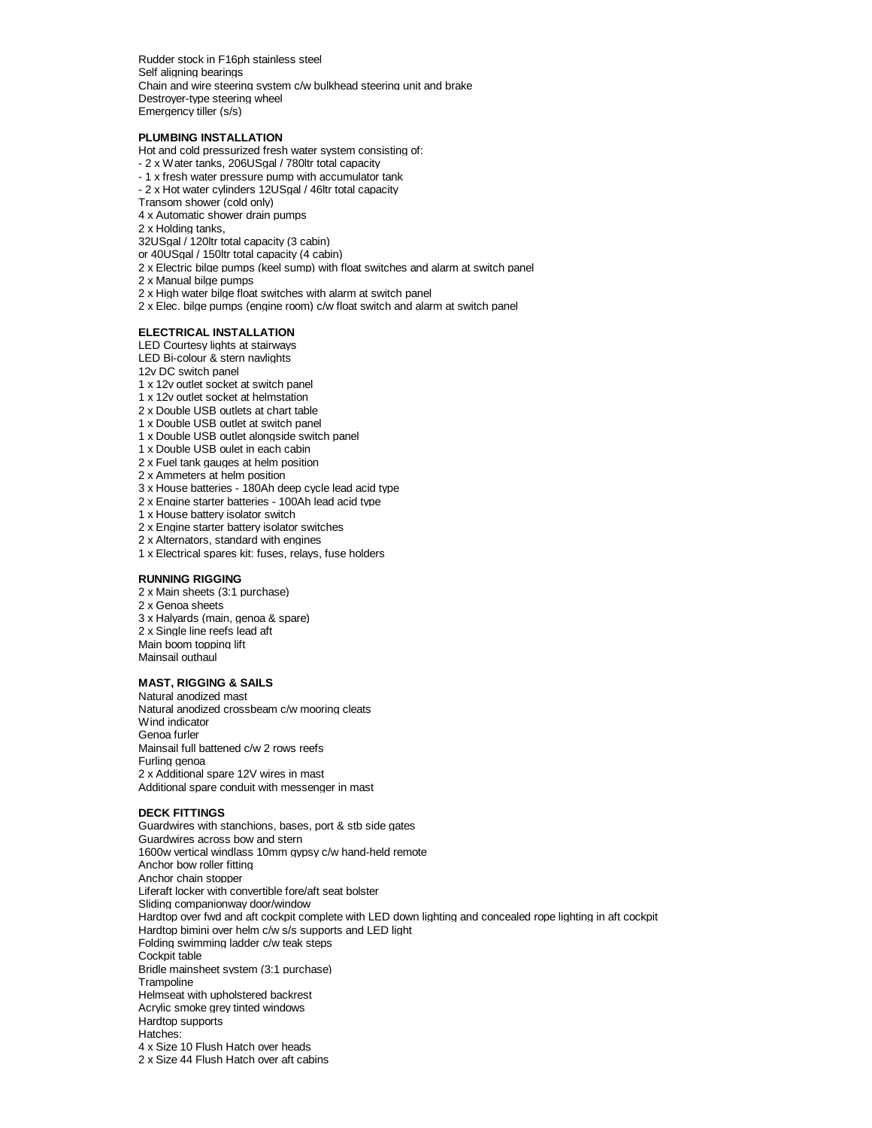Rudder stock in F16ph stainless steel Self aligning bearings Chain and wire steering system c/w bulkhead steering unit and brake Destroyer-type steering wheel Emergency tiller (s/s)

## **PLUMBING INSTALLATION**

Hot and cold pressurized fresh water system consisting of:

- 2 x Water tanks, 206USgal / 780ltr total capacity
- 1 x fresh water pressure pump with accumulator tank
- 2 x Hot water cylinders 12USgal / 46ltr total capacity
- Transom shower (cold only)

4 x Automatic shower drain pumps

2 x Holding tanks,

- 32USgal / 120ltr total capacity (3 cabin)
- or 40USgal / 150ltr total capacity (4 cabin)
- 2 x Electric bilge pumps (keel sump) with float switches and alarm at switch panel

2 x Manual bilge pumps

2 x High water bilge float switches with alarm at switch panel

2 x Elec. bilge pumps (engine room) c/w float switch and alarm at switch panel

## **ELECTRICAL INSTALLATION**

LED Courtesy lights at stairways

- LED Bi-colour & stern navlights
- 12v DC switch panel
- 1 x 12v outlet socket at switch panel
- 1 x 12v outlet socket at helmstation
- 2 x Double USB outlets at chart table
- 1 x Double USB outlet at switch panel
- 1 x Double USB outlet alongside switch panel
- 1 x Double USB oulet in each cabin
- 2 x Fuel tank gauges at helm position
- 2 x Ammeters at helm position
- 3 x House batteries 180Ah deep cycle lead acid type
- 2 x Engine starter batteries 100Ah lead acid type
- 1 x House battery isolator switch
- 2 x Engine starter battery isolator switches
- 2 x Alternators, standard with engines
- 1 x Electrical spares kit: fuses, relays, fuse holders

## **RUNNING RIGGING**

2 x Main sheets (3:1 purchase) 2 x Genoa sheets 3 x Halyards (main, genoa & spare) 2 x Single line reefs lead aft Main boom topping lift Mainsail outhaul

# **MAST, RIGGING & SAILS**

Natural anodized mast Natural anodized crossbeam c/w mooring cleats Wind indicator Genoa furler Mainsail full battened c/w 2 rows reefs Furling genoa 2 x Additional spare 12V wires in mast Additional spare conduit with messenger in mast

#### **DECK FITTINGS**

Guardwires with stanchions, bases, port & stb side gates Guardwires across bow and stern 1600w vertical windlass 10mm gypsy c/w hand-held remote Anchor bow roller fitting Anchor chain stopper Liferaft locker with convertible fore/aft seat bolster Sliding companionway door/window Hardtop over fwd and aft cockpit complete with LED down lighting and concealed rope lighting in aft cockpit Hardtop bimini over helm c/w s/s supports and LED light Folding swimming ladder c/w teak steps Cockpit table Bridle mainsheet system (3:1 purchase) **Trampoline** Helmseat with upholstered backrest Acrylic smoke grey tinted windows Hardtop supports Hatches: 4 x Size 10 Flush Hatch over heads 2 x Size 44 Flush Hatch over aft cabins